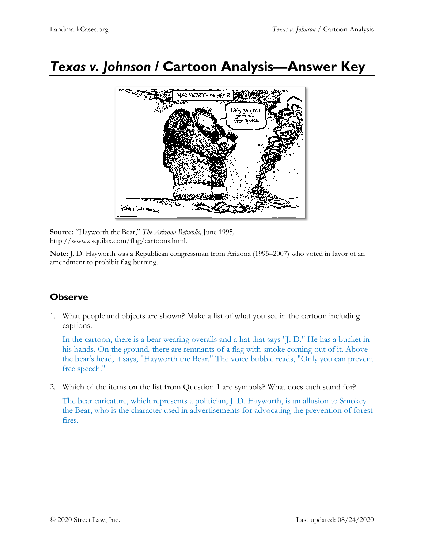# *Texas v. Johnson* **/ Cartoon Analysis—Answer Key**



**Source:** "Hayworth the Bear," *The Arizona Republic,* June 1995*,*  [http://www.esquilax.com/flag/cartoons.html.](http://www.esquilax.com/flag/cartoons.html)

**Note:** J. D. Hayworth was a Republican congressman from Arizona (1995–2007) who voted in favor of an amendment to prohibit flag burning.

## **Observe**

1. What people and objects are shown? Make a list of what you see in the cartoon including captions.

In the cartoon, there is a bear wearing overalls and a hat that says "J. D." He has a bucket in his hands. On the ground, there are remnants of a flag with smoke coming out of it. Above the bear's head, it says, "Hayworth the Bear." The voice bubble reads, "Only you can prevent free speech."

2. Which of the items on the list from Question 1 are symbols? What does each stand for?

The bear caricature, which represents a politician, J. D. Hayworth, is an allusion to Smokey the Bear, who is the character used in advertisements for advocating the prevention of forest fires.